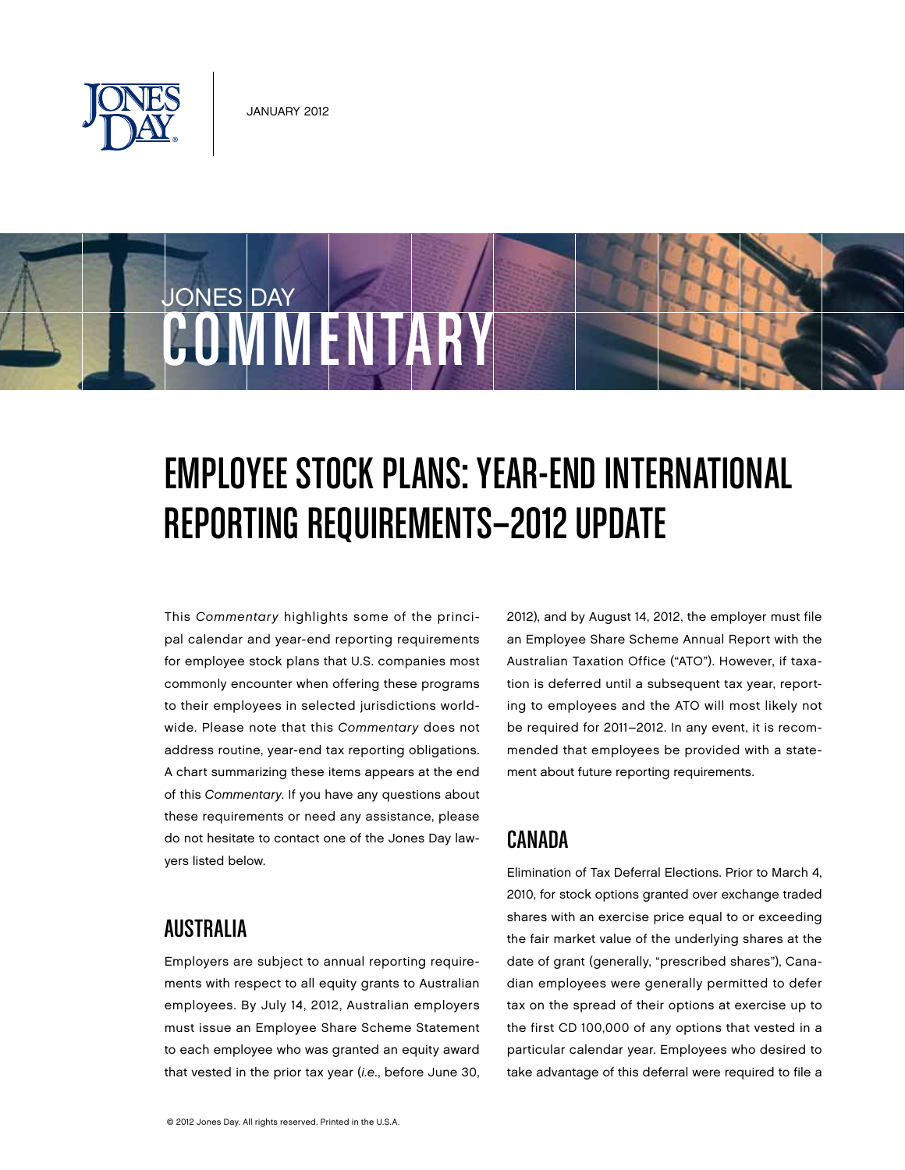

**COMMENTARY** 

JONES DAY

# Employee Stock Plans: Year-End International Reporting Requirements—2012 Update

This Commentary highlights some of the principal calendar and year-end reporting requirements for employee stock plans that U.S. companies most commonly encounter when offering these programs to their employees in selected jurisdictions worldwide. Please note that this Commentary does not address routine, year-end tax reporting obligations. A chart summarizing these items appears at the end of this Commentary. If you have any questions about these requirements or need any assistance, please do not hesitate to contact one of the Jones Day lawyers listed below.

#### 2012), and by August 14, 2012, the employer must file an Employee Share Scheme Annual Report with the Australian Taxation Office ("ATO"). However, if taxation is deferred until a subsequent tax year, reporting to employees and the ATO will most likely not be required for 2011–2012. In any event, it is recommended that employees be provided with a statement about future reporting requirements.

## Canada

Elimination of Tax Deferral Elections. Prior to March 4, 2010, for stock options granted over exchange traded shares with an exercise price equal to or exceeding the fair market value of the underlying shares at the date of grant (generally, "prescribed shares"), Canadian employees were generally permitted to defer tax on the spread of their options at exercise up to the first CD 100,000 of any options that vested in a particular calendar year. Employees who desired to take advantage of this deferral were required to file a

# **AUSTRALIA**

Employers are subject to annual reporting requirements with respect to all equity grants to Australian employees. By July 14, 2012, Australian employers must issue an Employee Share Scheme Statement to each employee who was granted an equity award that vested in the prior tax year (i.e., before June 30,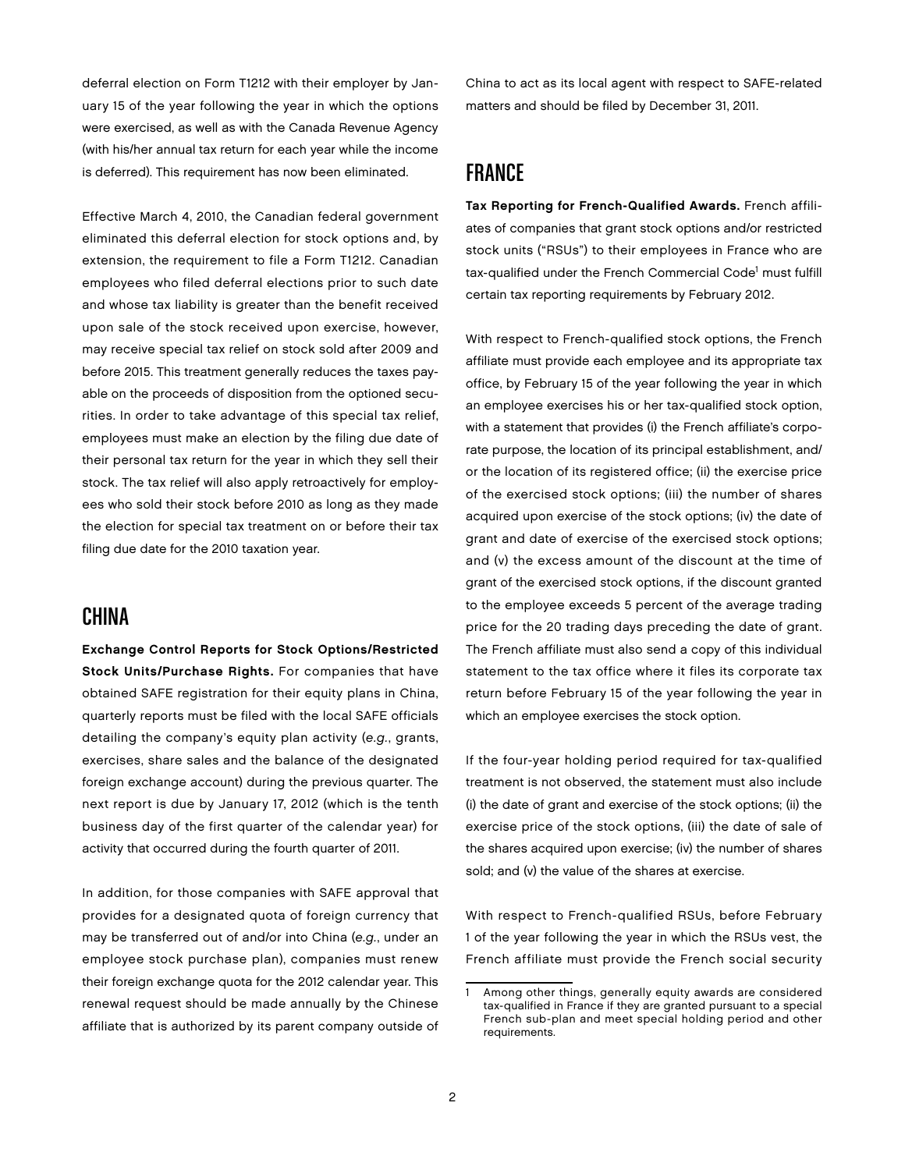deferral election on Form T1212 with their employer by January 15 of the year following the year in which the options were exercised, as well as with the Canada Revenue Agency (with his/her annual tax return for each year while the income is deferred). This requirement has now been eliminated.

Effective March 4, 2010, the Canadian federal government eliminated this deferral election for stock options and, by extension, the requirement to file a Form T1212. Canadian employees who filed deferral elections prior to such date and whose tax liability is greater than the benefit received upon sale of the stock received upon exercise, however, may receive special tax relief on stock sold after 2009 and before 2015. This treatment generally reduces the taxes payable on the proceeds of disposition from the optioned securities. In order to take advantage of this special tax relief, employees must make an election by the filing due date of their personal tax return for the year in which they sell their stock. The tax relief will also apply retroactively for employees who sold their stock before 2010 as long as they made the election for special tax treatment on or before their tax filing due date for the 2010 taxation year.

#### China

Exchange Control Reports for Stock Options/Restricted Stock Units/Purchase Rights. For companies that have obtained SAFE registration for their equity plans in China, quarterly reports must be filed with the local SAFE officials detailing the company's equity plan activity (e.g., grants, exercises, share sales and the balance of the designated foreign exchange account) during the previous quarter. The next report is due by January 17, 2012 (which is the tenth business day of the first quarter of the calendar year) for activity that occurred during the fourth quarter of 2011.

In addition, for those companies with SAFE approval that provides for a designated quota of foreign currency that may be transferred out of and/or into China (e.g., under an employee stock purchase plan), companies must renew their foreign exchange quota for the 2012 calendar year. This renewal request should be made annually by the Chinese affiliate that is authorized by its parent company outside of

China to act as its local agent with respect to SAFE-related matters and should be filed by December 31, 2011.

### **FRANCE**

Tax Reporting for French-Qualified Awards. French affiliates of companies that grant stock options and/or restricted stock units ("RSUs") to their employees in France who are tax-qualified under the French Commercial Code<sup>1</sup> must fulfill certain tax reporting requirements by February 2012.

With respect to French-qualified stock options, the French affiliate must provide each employee and its appropriate tax office, by February 15 of the year following the year in which an employee exercises his or her tax-qualified stock option, with a statement that provides (i) the French affiliate's corporate purpose, the location of its principal establishment, and/ or the location of its registered office; (ii) the exercise price of the exercised stock options; (iii) the number of shares acquired upon exercise of the stock options; (iv) the date of grant and date of exercise of the exercised stock options; and (v) the excess amount of the discount at the time of grant of the exercised stock options, if the discount granted to the employee exceeds 5 percent of the average trading price for the 20 trading days preceding the date of grant. The French affiliate must also send a copy of this individual statement to the tax office where it files its corporate tax return before February 15 of the year following the year in which an employee exercises the stock option.

If the four-year holding period required for tax-qualified treatment is not observed, the statement must also include (i) the date of grant and exercise of the stock options; (ii) the exercise price of the stock options, (iii) the date of sale of the shares acquired upon exercise; (iv) the number of shares sold; and (v) the value of the shares at exercise.

With respect to French-qualified RSUs, before February 1 of the year following the year in which the RSUs vest, the French affiliate must provide the French social security

Among other things, generally equity awards are considered tax-qualified in France if they are granted pursuant to a special French sub-plan and meet special holding period and other requirements.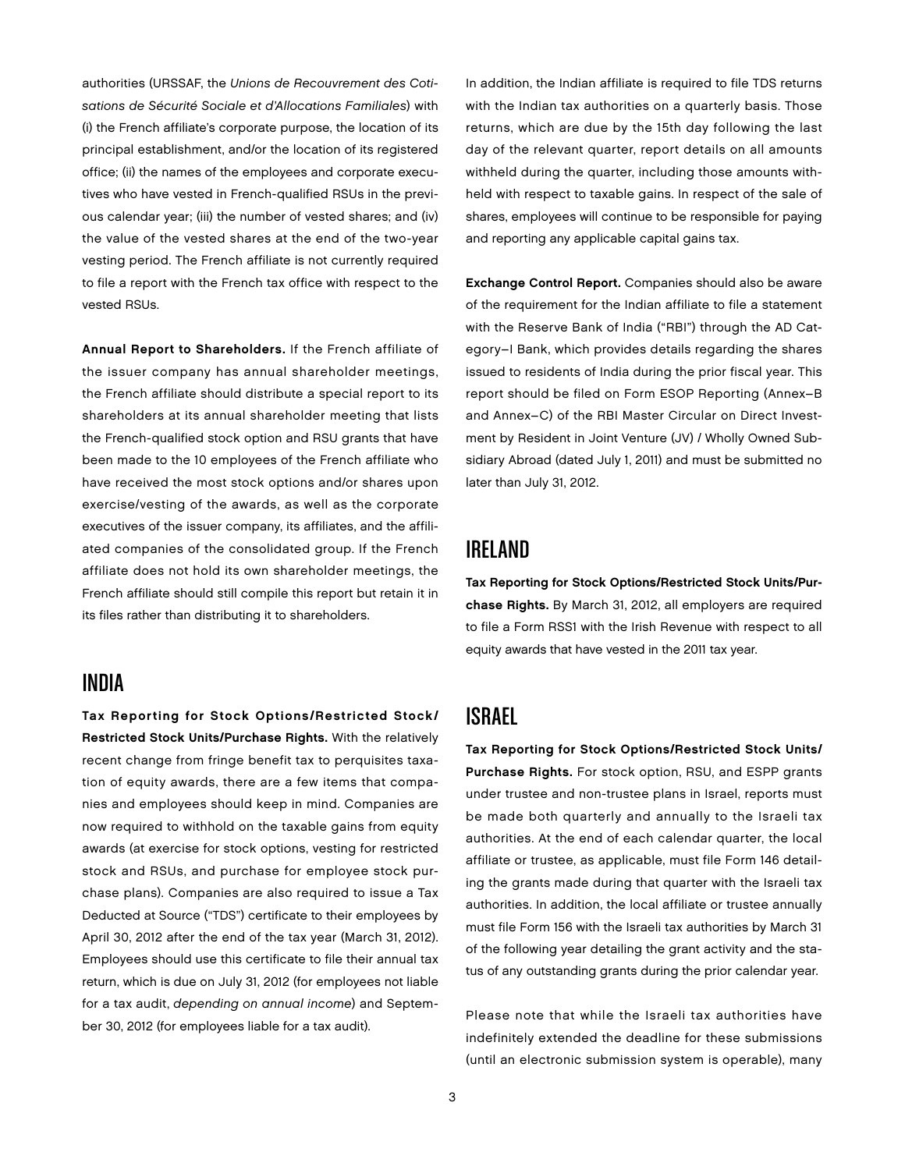authorities (URSSAF, the Unions de Recouvrement des Cotisations de Sécurité Sociale et d'Allocations Familiales) with (i) the French affiliate's corporate purpose, the location of its principal establishment, and/or the location of its registered office; (ii) the names of the employees and corporate executives who have vested in French-qualified RSUs in the previous calendar year; (iii) the number of vested shares; and (iv) the value of the vested shares at the end of the two-year vesting period. The French affiliate is not currently required to file a report with the French tax office with respect to the vested RSUs.

Annual Report to Shareholders. If the French affiliate of the issuer company has annual shareholder meetings, the French affiliate should distribute a special report to its shareholders at its annual shareholder meeting that lists the French-qualified stock option and RSU grants that have been made to the 10 employees of the French affiliate who have received the most stock options and/or shares upon exercise/vesting of the awards, as well as the corporate executives of the issuer company, its affiliates, and the affiliated companies of the consolidated group. If the French affiliate does not hold its own shareholder meetings, the French affiliate should still compile this report but retain it in its files rather than distributing it to shareholders.

#### India

Tax Reporting for Stock Options/Restricted Stock/ Restricted Stock Units/Purchase Rights. With the relatively recent change from fringe benefit tax to perquisites taxation of equity awards, there are a few items that companies and employees should keep in mind. Companies are now required to withhold on the taxable gains from equity awards (at exercise for stock options, vesting for restricted stock and RSUs, and purchase for employee stock purchase plans). Companies are also required to issue a Tax Deducted at Source ("TDS") certificate to their employees by April 30, 2012 after the end of the tax year (March 31, 2012). Employees should use this certificate to file their annual tax return, which is due on July 31, 2012 (for employees not liable for a tax audit, depending on annual income) and September 30, 2012 (for employees liable for a tax audit).

In addition, the Indian affiliate is required to file TDS returns with the Indian tax authorities on a quarterly basis. Those returns, which are due by the 15th day following the last day of the relevant quarter, report details on all amounts withheld during the quarter, including those amounts withheld with respect to taxable gains. In respect of the sale of shares, employees will continue to be responsible for paying and reporting any applicable capital gains tax.

Exchange Control Report. Companies should also be aware of the requirement for the Indian affiliate to file a statement with the Reserve Bank of India ("RBI") through the AD Category–I Bank, which provides details regarding the shares issued to residents of India during the prior fiscal year. This report should be filed on Form ESOP Reporting (Annex–B and Annex–C) of the RBI Master Circular on Direct Investment by Resident in Joint Venture (JV) / Wholly Owned Subsidiary Abroad (dated July 1, 2011) and must be submitted no later than July 31, 2012.

#### Ireland

Tax Reporting for Stock Options/Restricted Stock Units/Purchase Rights. By March 31, 2012, all employers are required to file a Form RSS1 with the Irish Revenue with respect to all equity awards that have vested in the 2011 tax year.

## Israel

Tax Reporting for Stock Options/Restricted Stock Units/ Purchase Rights. For stock option, RSU, and ESPP grants under trustee and non-trustee plans in Israel, reports must be made both quarterly and annually to the Israeli tax authorities. At the end of each calendar quarter, the local affiliate or trustee, as applicable, must file Form 146 detailing the grants made during that quarter with the Israeli tax authorities. In addition, the local affiliate or trustee annually must file Form 156 with the Israeli tax authorities by March 31 of the following year detailing the grant activity and the status of any outstanding grants during the prior calendar year.

Please note that while the Israeli tax authorities have indefinitely extended the deadline for these submissions (until an electronic submission system is operable), many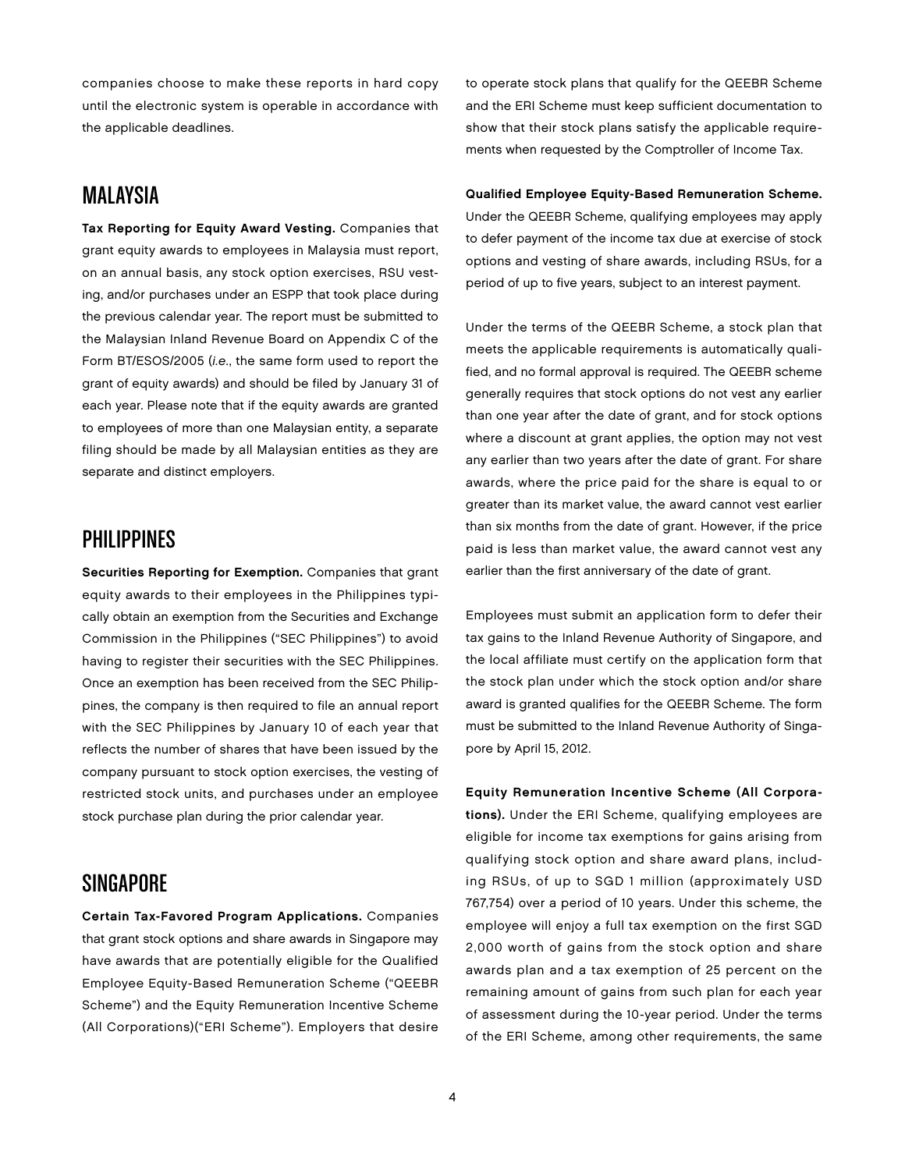companies choose to make these reports in hard copy until the electronic system is operable in accordance with the applicable deadlines.

#### Malaysia

Tax Reporting for Equity Award Vesting. Companies that grant equity awards to employees in Malaysia must report, on an annual basis, any stock option exercises, RSU vesting, and/or purchases under an ESPP that took place during the previous calendar year. The report must be submitted to the Malaysian Inland Revenue Board on Appendix C of the Form BT/ESOS/2005 (i.e., the same form used to report the grant of equity awards) and should be filed by January 31 of each year. Please note that if the equity awards are granted to employees of more than one Malaysian entity, a separate filing should be made by all Malaysian entities as they are separate and distinct employers.

## **PHILIPPINES**

Securities Reporting for Exemption. Companies that grant equity awards to their employees in the Philippines typically obtain an exemption from the Securities and Exchange Commission in the Philippines ("SEC Philippines") to avoid having to register their securities with the SEC Philippines. Once an exemption has been received from the SEC Philippines, the company is then required to file an annual report with the SEC Philippines by January 10 of each year that reflects the number of shares that have been issued by the company pursuant to stock option exercises, the vesting of restricted stock units, and purchases under an employee stock purchase plan during the prior calendar year.

# **SINGAPORE**

Certain Tax-Favored Program Applications. Companies that grant stock options and share awards in Singapore may have awards that are potentially eligible for the Qualified Employee Equity-Based Remuneration Scheme ("QEEBR Scheme") and the Equity Remuneration Incentive Scheme (All Corporations)("ERI Scheme"). Employers that desire to operate stock plans that qualify for the QEEBR Scheme and the ERI Scheme must keep sufficient documentation to show that their stock plans satisfy the applicable requirements when requested by the Comptroller of Income Tax.

#### Qualified Employee Equity-Based Remuneration Scheme. Under the QEEBR Scheme, qualifying employees may apply to defer payment of the income tax due at exercise of stock options and vesting of share awards, including RSUs, for a period of up to five years, subject to an interest payment.

Under the terms of the QEEBR Scheme, a stock plan that meets the applicable requirements is automatically qualified, and no formal approval is required. The QEEBR scheme generally requires that stock options do not vest any earlier than one year after the date of grant, and for stock options where a discount at grant applies, the option may not vest any earlier than two years after the date of grant. For share awards, where the price paid for the share is equal to or greater than its market value, the award cannot vest earlier than six months from the date of grant. However, if the price paid is less than market value, the award cannot vest any earlier than the first anniversary of the date of grant.

Employees must submit an application form to defer their tax gains to the Inland Revenue Authority of Singapore, and the local affiliate must certify on the application form that the stock plan under which the stock option and/or share award is granted qualifies for the QEEBR Scheme. The form must be submitted to the Inland Revenue Authority of Singapore by April 15, 2012.

Equity Remuneration Incentive Scheme (All Corporations). Under the ERI Scheme, qualifying employees are eligible for income tax exemptions for gains arising from qualifying stock option and share award plans, including RSUs, of up to SGD 1 million (approximately USD 767,754) over a period of 10 years. Under this scheme, the employee will enjoy a full tax exemption on the first SGD 2,000 worth of gains from the stock option and share awards plan and a tax exemption of 25 percent on the remaining amount of gains from such plan for each year of assessment during the 10-year period. Under the terms of the ERI Scheme, among other requirements, the same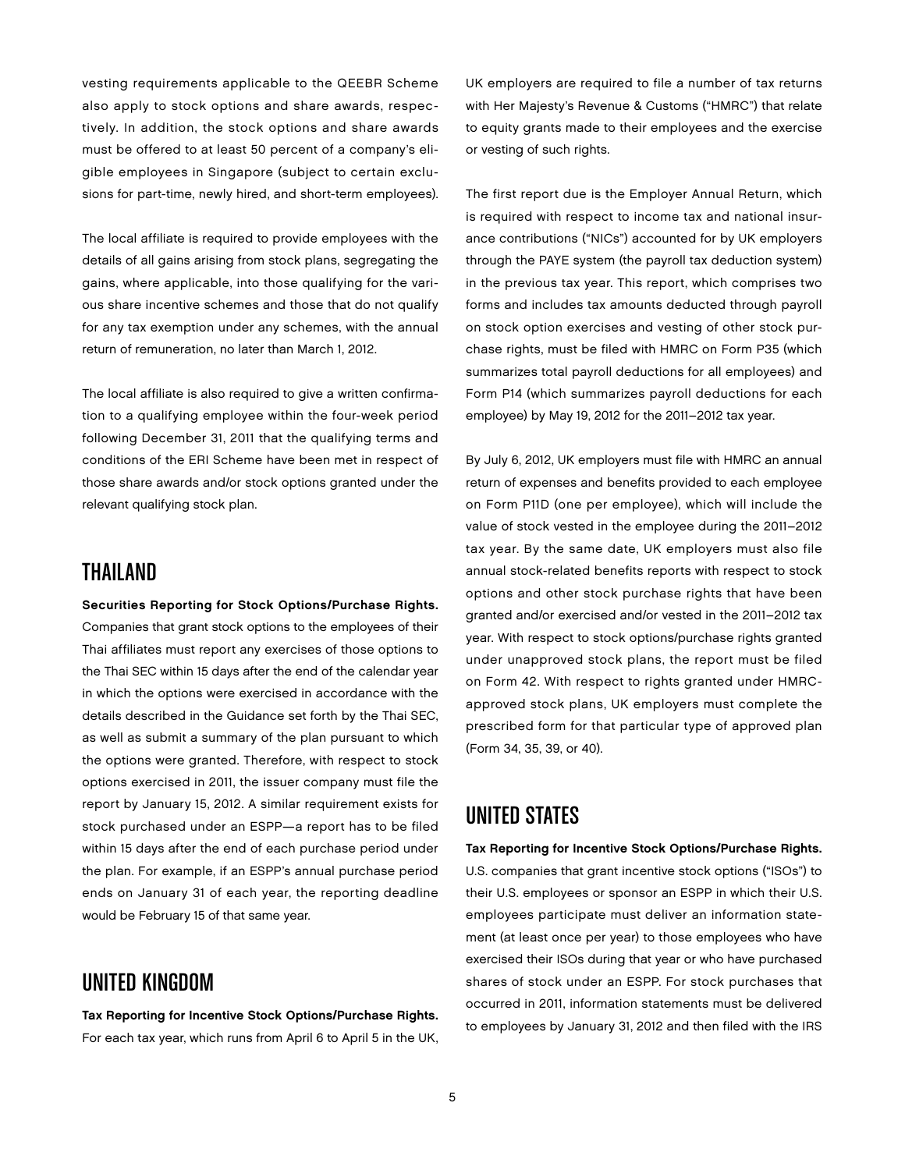vesting requirements applicable to the QEEBR Scheme also apply to stock options and share awards, respectively. In addition, the stock options and share awards must be offered to at least 50 percent of a company's eligible employees in Singapore (subject to certain exclusions for part-time, newly hired, and short-term employees).

The local affiliate is required to provide employees with the details of all gains arising from stock plans, segregating the gains, where applicable, into those qualifying for the various share incentive schemes and those that do not qualify for any tax exemption under any schemes, with the annual return of remuneration, no later than March 1, 2012.

The local affiliate is also required to give a written confirmation to a qualifying employee within the four-week period following December 31, 2011 that the qualifying terms and conditions of the ERI Scheme have been met in respect of those share awards and/or stock options granted under the relevant qualifying stock plan.

# **THAILAND**

Securities Reporting for Stock Options/Purchase Rights. Companies that grant stock options to the employees of their Thai affiliates must report any exercises of those options to the Thai SEC within 15 days after the end of the calendar year in which the options were exercised in accordance with the details described in the Guidance set forth by the Thai SEC, as well as submit a summary of the plan pursuant to which the options were granted. Therefore, with respect to stock options exercised in 2011, the issuer company must file the report by January 15, 2012. A similar requirement exists for stock purchased under an ESPP—a report has to be filed within 15 days after the end of each purchase period under the plan. For example, if an ESPP's annual purchase period ends on January 31 of each year, the reporting deadline would be February 15 of that same year.

## United Kingdom

Tax Reporting for Incentive Stock Options/Purchase Rights. For each tax year, which runs from April 6 to April 5 in the UK, UK employers are required to file a number of tax returns with Her Majesty's Revenue & Customs ("HMRC") that relate to equity grants made to their employees and the exercise or vesting of such rights.

The first report due is the Employer Annual Return, which is required with respect to income tax and national insurance contributions ("NICs") accounted for by UK employers through the PAYE system (the payroll tax deduction system) in the previous tax year. This report, which comprises two forms and includes tax amounts deducted through payroll on stock option exercises and vesting of other stock purchase rights, must be filed with HMRC on Form P35 (which summarizes total payroll deductions for all employees) and Form P14 (which summarizes payroll deductions for each employee) by May 19, 2012 for the 2011–2012 tax year.

By July 6, 2012, UK employers must file with HMRC an annual return of expenses and benefits provided to each employee on Form P11D (one per employee), which will include the value of stock vested in the employee during the 2011–2012 tax year. By the same date, UK employers must also file annual stock-related benefits reports with respect to stock options and other stock purchase rights that have been granted and/or exercised and/or vested in the 2011–2012 tax year. With respect to stock options/purchase rights granted under unapproved stock plans, the report must be filed on Form 42. With respect to rights granted under HMRCapproved stock plans, UK employers must complete the prescribed form for that particular type of approved plan (Form 34, 35, 39, or 40).

## UNITED STATES

Tax Reporting for Incentive Stock Options/Purchase Rights. U.S. companies that grant incentive stock options ("ISOs") to their U.S. employees or sponsor an ESPP in which their U.S. employees participate must deliver an information statement (at least once per year) to those employees who have exercised their ISOs during that year or who have purchased shares of stock under an ESPP. For stock purchases that occurred in 2011, information statements must be delivered to employees by January 31, 2012 and then filed with the IRS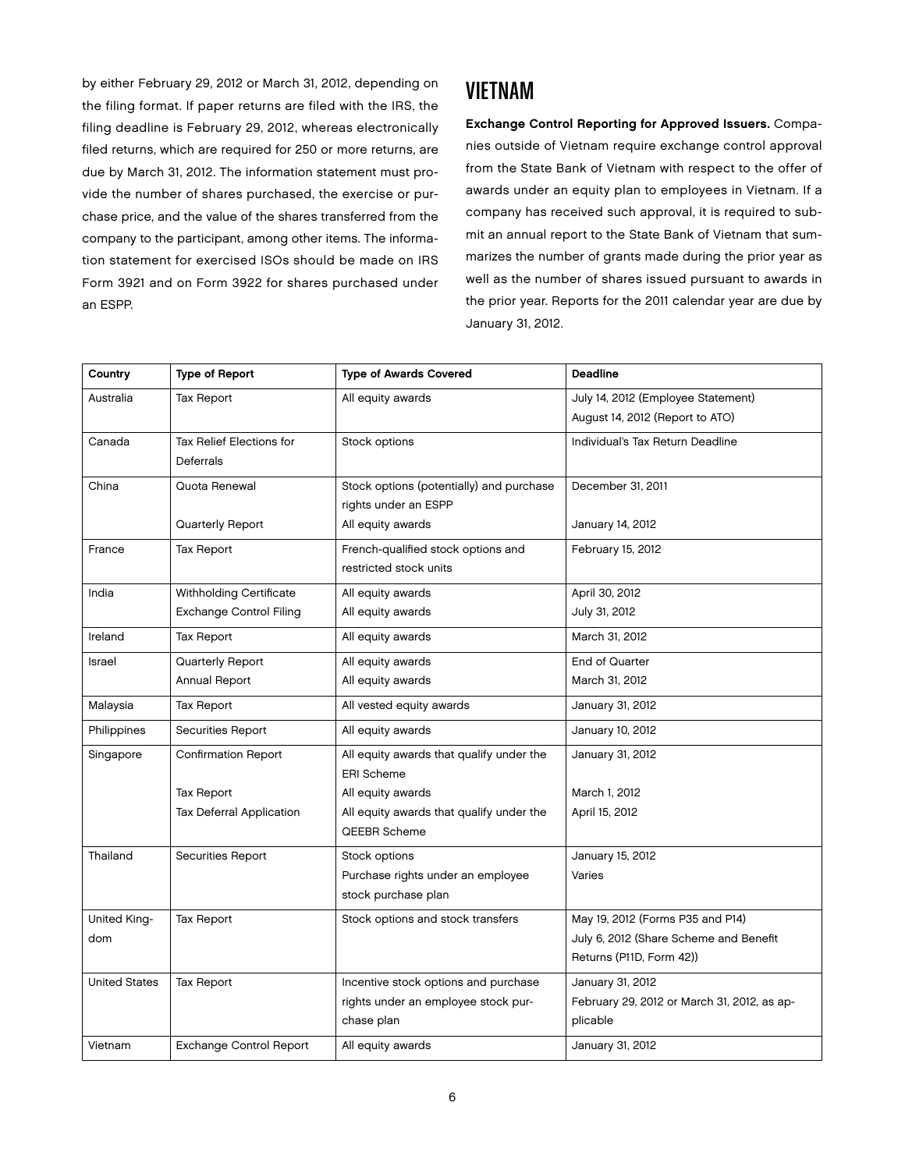by either February 29, 2012 or March 31, 2012, depending on the filing format. If paper returns are filed with the IRS, the filing deadline is February 29, 2012, whereas electronically filed returns, which are required for 250 or more returns, are due by March 31, 2012. The information statement must provide the number of shares purchased, the exercise or purchase price, and the value of the shares transferred from the company to the participant, among other items. The information statement for exercised ISOs should be made on IRS Form 3921 and on Form 3922 for shares purchased under an ESPP.

## **VIETNAM**

Exchange Control Reporting for Approved Issuers. Companies outside of Vietnam require exchange control approval from the State Bank of Vietnam with respect to the offer of awards under an equity plan to employees in Vietnam. If a company has received such approval, it is required to submit an annual report to the State Bank of Vietnam that summarizes the number of grants made during the prior year as well as the number of shares issued pursuant to awards in the prior year. Reports for the 2011 calendar year are due by January 31, 2012.

| Country              | <b>Type of Report</b>          | <b>Type of Awards Covered</b>            | <b>Deadline</b>                             |
|----------------------|--------------------------------|------------------------------------------|---------------------------------------------|
| Australia            | <b>Tax Report</b>              | All equity awards                        | July 14, 2012 (Employee Statement)          |
|                      |                                |                                          | August 14, 2012 (Report to ATO)             |
| Canada               | Tax Relief Elections for       | Stock options                            | Individual's Tax Return Deadline            |
|                      | Deferrals                      |                                          |                                             |
| China                | Quota Renewal                  | Stock options (potentially) and purchase | December 31, 2011                           |
|                      |                                | rights under an ESPP                     |                                             |
|                      | Quarterly Report               | All equity awards                        | January 14, 2012                            |
| France               | Tax Report                     | French-qualified stock options and       | February 15, 2012                           |
|                      |                                | restricted stock units                   |                                             |
| India                | Withholding Certificate        | All equity awards                        | April 30, 2012                              |
|                      | Exchange Control Filing        | All equity awards                        | July 31, 2012                               |
| Ireland              | Tax Report                     | All equity awards                        | March 31, 2012                              |
| Israel               | Quarterly Report               | All equity awards                        | End of Quarter                              |
|                      | Annual Report                  | All equity awards                        | March 31, 2012                              |
| Malaysia             | Tax Report                     | All vested equity awards                 | January 31, 2012                            |
| Philippines          | Securities Report              | All equity awards                        | January 10, 2012                            |
| Singapore            | <b>Confirmation Report</b>     | All equity awards that qualify under the | January 31, 2012                            |
|                      |                                | <b>ERI Scheme</b>                        |                                             |
|                      | Tax Report                     | All equity awards                        | March 1, 2012                               |
|                      | Tax Deferral Application       | All equity awards that qualify under the | April 15, 2012                              |
|                      |                                | QEEBR Scheme                             |                                             |
| Thailand             | <b>Securities Report</b>       | Stock options                            | January 15, 2012                            |
|                      |                                | Purchase rights under an employee        | Varies                                      |
|                      |                                | stock purchase plan                      |                                             |
| United King-         | Tax Report                     | Stock options and stock transfers        | May 19, 2012 (Forms P35 and P14)            |
| dom                  |                                |                                          | July 6, 2012 (Share Scheme and Benefit      |
|                      |                                |                                          | Returns (P11D, Form 42))                    |
| <b>United States</b> | <b>Tax Report</b>              | Incentive stock options and purchase     | January 31, 2012                            |
|                      |                                | rights under an employee stock pur-      | February 29, 2012 or March 31, 2012, as ap- |
|                      |                                | chase plan                               | plicable                                    |
| Vietnam              | <b>Exchange Control Report</b> | All equity awards                        | January 31, 2012                            |